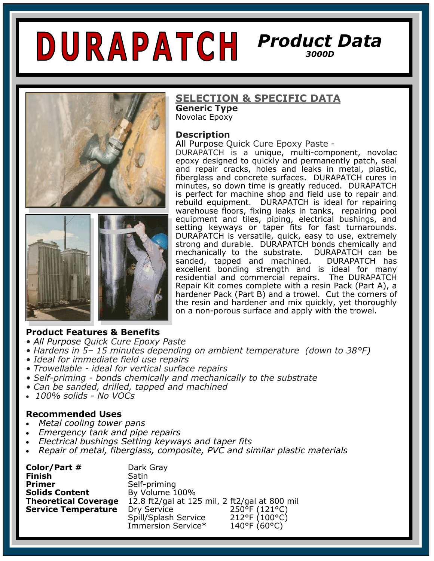# *Product Data 3000D*



# **SELECTION & SPECIFIC DATA**

**Generic Type**  Novolac Epoxy

#### **Description**

All Purpose Quick Cure Epoxy Paste -

DURAPATCH is a unique, multi-component, novolac epoxy designed to quickly and permanently patch, seal and repair cracks, holes and leaks in metal, plastic, fiberglass and concrete surfaces. DURAPATCH cures in minutes, so down time is greatly reduced. DURAPATCH is perfect for machine shop and field use to repair and rebuild equipment. DURAPATCH is ideal for repairing warehouse floors, fixing leaks in tanks, repairing pool equipment and tiles, piping, electrical bushings, and setting keyways or taper fits for fast turnarounds. DURAPATCH is versatile, quick, easy to use, extremely strong and durable. DURAPATCH bonds chemically and mechanically to the substrate. DURAPATCH can be<br>sanded, tapped and machined. DURAPATCH has sanded, tapped and machined. excellent bonding strength and is ideal for many residential and commercial repairs. The DURAPATCH Repair Kit comes complete with a resin Pack (Part A), a hardener Pack (Part B) and a trowel. Cut the corners of the resin and hardener and mix quickly, yet thoroughly on a non-porous surface and apply with the trowel.

#### **Product Features & Benefits**

- *All Purpose Quick Cure Epoxy Paste*
- *Hardens in 5– 15 minutes depending on ambient temperature (down to 38°F)*
- *Ideal for immediate field use repairs*
- *Trowellable - ideal for vertical surface repairs*
- *Self-priming - bonds chemically and mechanically to the substrate*
- *Can be sanded, drilled, tapped and machined*
- *100% solids - No VOCs*

#### **Recommended Uses**

- *Metal cooling tower pans*
- *Emergency tank and pipe repairs*
- *Electrical bushings Setting keyways and taper fits*
- *Repair of metal, fiberglass, composite, PVC and similar plastic materials*

| Color/Part #                | Dark Gray                                     |               |
|-----------------------------|-----------------------------------------------|---------------|
| Finish                      | Satin                                         |               |
| <b>Primer</b>               | Self-priming                                  |               |
| <b>Solids Content</b>       | By Volume 100%                                |               |
| <b>Theoretical Coverage</b> | 12.8 ft2/gal at 125 mil, 2 ft2/gal at 800 mil |               |
| <b>Service Temperature</b>  | Dry Service                                   | 250°F (121°C) |
|                             | Spill/Splash Service                          | 212°F (100°C) |
|                             | Immersion Service*                            | 140°F (60°C)  |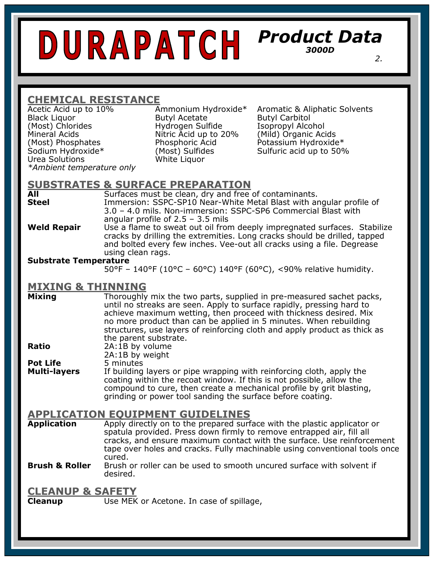# *Product Data 3000D 2. 2.*

# **CHEMICAL RESISTANCE**

Black Liquor Butyl Acetate Butyl Carbitol<br>Most) Chlorides Hydrogen Sulfide Isopropyl Alco Mineral Acids Nitric Acid up to 20% (Mild) Organic Acids (Most) Phosphates (Most) Phosphoric Acid Potassium Hydroxide\*<br>Sodium Hydroxide\* (Most) Sulfides (Potality Cacid up to 50% Urea Solutions White Liquor *\*Ambient temperature only*

Hydrogen Sulfide Isopropyl Alcohol

Acetic Acid up to 10% Ammonium Hydroxide\* Aromatic & Aliphatic Solvents (Most) Sulfides Sulfuric acid up to 50%

# **SUBSTRATES & SURFACE PREPARATION**

**All Surfaces must be clean, dry and free of contaminants.**<br> **Steel** Immersion: SSPC-SP10 Near-White Metal Blast with ar **Steel** Immersion: SSPC-SP10 Near-White Metal Blast with angular profile of 3.0 – 4.0 mils. Non-immersion: SSPC-SP6 Commercial Blast with angular profile of 2.5 – 3.5 mils

**Weld Repair** Use a flame to sweat out oil from deeply impregnated surfaces. Stabilize cracks by drilling the extremities. Long cracks should be drilled, tapped and bolted every few inches. Vee-out all cracks using a file. Degrease using clean rags.

#### **Substrate Temperature**

50°F – 140°F (10°C – 60°C) 140°F (60°C), <90% relative humidity.

### **MIXING & THINNING**

**Mixing** Thoroughly mix the two parts, supplied in pre-measured sachet packs, until no streaks are seen. Apply to surface rapidly, pressing hard to achieve maximum wetting, then proceed with thickness desired. Mix no more product than can be applied in 5 minutes. When rebuilding structures, use layers of reinforcing cloth and apply product as thick as the parent substrate. **Ratio** 2A:1B by volume

2A:1B by weight

**Pot Life** 5 minutes

**Multi-layers** If building layers or pipe wrapping with reinforcing cloth, apply the coating within the recoat window. If this is not possible, allow the compound to cure, then create a mechanical profile by grit blasting, grinding or power tool sanding the surface before coating.

### **APPLICATION EQUIPMENT GUIDELINES**

**Application** Apply directly on to the prepared surface with the plastic applicator or spatula provided. Press down firmly to remove entrapped air, fill all cracks, and ensure maximum contact with the surface. Use reinforcement tape over holes and cracks. Fully machinable using conventional tools once cured.

**Brush & Roller** Brush or roller can be used to smooth uncured surface with solvent if desired.

#### **CLEANUP & SAFETY**

**Cleanup** Use MEK or Acetone. In case of spillage,